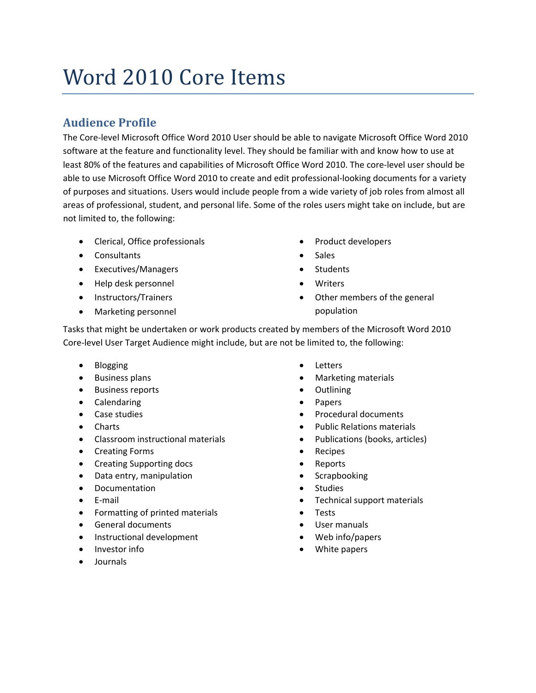# Word 2010 Core Items

# **Audience Profile**

The Core‐level Microsoft Office Word 2010 User should be able to navigate Microsoft Office Word 2010 software at the feature and functionality level. They should be familiar with and know how to use at least 80% of the features and capabilities of Microsoft Office Word 2010. The core‐level user should be able to use Microsoft Office Word 2010 to create and edit professional-looking documents for a variety of purposes and situations. Users would include people from a wide variety of job roles from almost all areas of professional, student, and personal life. Some of the roles users might take on include, but are not limited to, the following:

- Clerical, Office professionals
- Consultants
- Executives/Managers
- Help desk personnel
- Instructors/Trainers
- Marketing personnel
- Product developers
- Sales
- Students
- **Writers**
- Other members of the general population

Tasks that might be undertaken or work products created by members of the Microsoft Word 2010 Core‐level User Target Audience might include, but are not be limited to, the following:

- Blogging
- Business plans
- Business reports
- Calendaring
- Case studies
- Charts
- Classroom instructional materials
- Creating Forms
- Creating Supporting docs
- Data entry, manipulation
- Documentation
- E‐mail
- Formatting of printed materials
- General documents
- Instructional development
- Investor info
- Journals
- **Letters**
- Marketing materials
- Outlining
- Papers
- Procedural documents
- Public Relations materials
- Publications (books, articles)
- Recipes
- Reports
- Scrapbooking
- Studies
- Technical support materials
- **Tests**
- User manuals
- Web info/papers
- White papers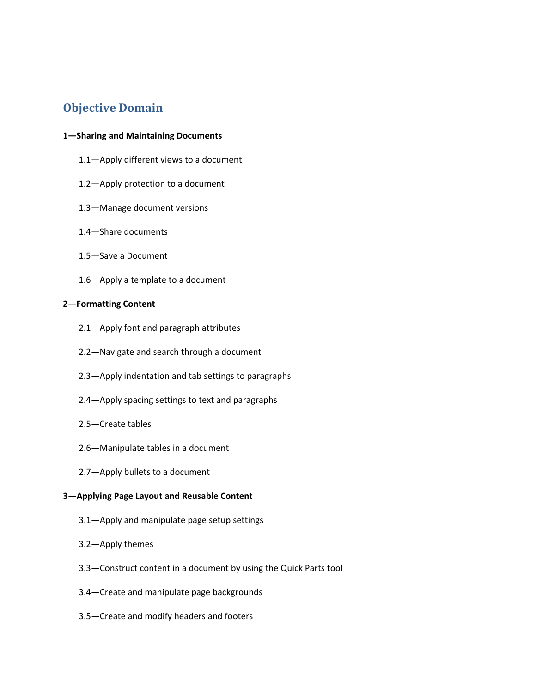# **Objective Domain**

### **1—Sharing and Maintaining Documents**

- 1.1—Apply different views to a document
- 1.2—Apply protection to a document
- 1.3—Manage document versions
- 1.4—Share documents
- 1.5—Save a Document
- 1.6—Apply a template to a document

### **2—Formatting Content**

- 2.1—Apply font and paragraph attributes
- 2.2—Navigate and search through a document
- 2.3—Apply indentation and tab settings to paragraphs
- 2.4—Apply spacing settings to text and paragraphs
- 2.5—Create tables
- 2.6—Manipulate tables in a document
- 2.7—Apply bullets to a document

# **3—Applying Page Layout and Reusable Content**

- 3.1—Apply and manipulate page setup settings
- 3.2—Apply themes
- 3.3—Construct content in a document by using the Quick Parts tool
- 3.4—Create and manipulate page backgrounds
- 3.5—Create and modify headers and footers